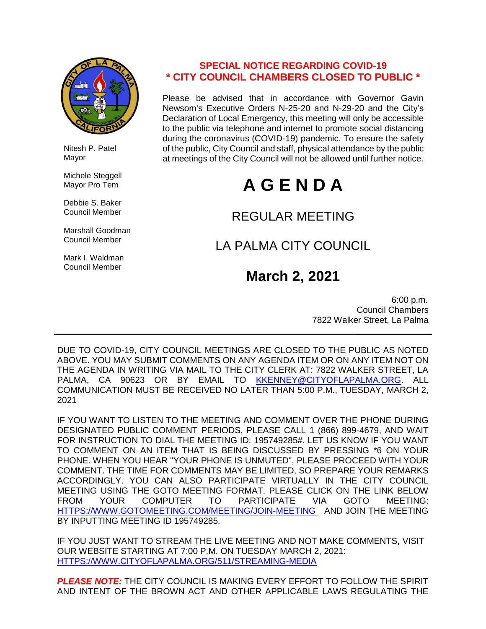

 Nitesh P. Patel Mayor

 Michele Steggell Mayor Pro Tem

 Debbie S. Baker Council Member

 Marshall Goodman Council Member

 Mark I. Waldman Council Member

# **SPECIAL NOTICE REGARDING COVID-19 \* CITY COUNCIL CHAMBERS CLOSED TO PUBLIC \***

Please be advised that in accordance with Governor Gavin Newsom's Executive Orders N-25-20 and N-29-20 and the City's Declaration of Local Emergency, this meeting will only be accessible to the public via telephone and internet to promote social distancing during the coronavirus (COVID-19) pandemic. To ensure the safety of the public, City Council and staff, physical attendance by the public at meetings of the City Council will not be allowed until further notice.

# **A G E N D A**

# REGULAR MEETING

# LA PALMA CITY COUNCIL

# **March 2, 2021**

 6:00 p.m. Council Chambers 7822 Walker Street, La Palma

DUE TO COVID-19, CITY COUNCIL MEETINGS ARE CLOSED TO THE PUBLIC AS NOTED ABOVE. YOU MAY SUBMIT COMMENTS ON ANY AGENDA ITEM OR ON ANY ITEM NOT ON THE AGENDA IN WRITING VIA MAIL TO THE CITY CLERK AT: 7822 WALKER STREET, LA PALMA, CA 90623 OR BY EMAIL TO [KKENNEY@CITYOFLAPALMA.ORG.](mailto:KKENNEY@CITYOFLAPALMA.ORG) ALL COMMUNICATION MUST BE RECEIVED NO LATER THAN 5:00 P.M., TUESDAY, MARCH 2, 2021

IF YOU WANT TO LISTEN TO THE MEETING AND COMMENT OVER THE PHONE DURING DESIGNATED PUBLIC COMMENT PERIODS, PLEASE CALL 1 (866) 899-4679, AND WAIT FOR INSTRUCTION TO DIAL THE MEETING ID: 195749285#. LET US KNOW IF YOU WANT TO COMMENT ON AN ITEM THAT IS BEING DISCUSSED BY PRESSING \*6 ON YOUR PHONE. WHEN YOU HEAR "YOUR PHONE IS UNMUTED", PLEASE PROCEED WITH YOUR COMMENT. THE TIME FOR COMMENTS MAY BE LIMITED, SO PREPARE YOUR REMARKS ACCORDINGLY. YOU CAN ALSO PARTICIPATE VIRTUALLY IN THE CITY COUNCIL MEETING USING THE GOTO MEETING FORMAT. PLEASE CLICK ON THE LINK BELOW FROM YOUR COMPUTER TO PARTICIPATE VIA GOTO MEETING: [HTTPS://WWW.GOTOMEETING.COM/MEETING/JOIN-MEETING](https://www.gotomeeting.com/meeting/join-meeting) AND JOIN THE MEETING BY INPUTTING MEETING ID 195749285.

IF YOU JUST WANT TO STREAM THE LIVE MEETING AND NOT MAKE COMMENTS, VISIT OUR WEBSITE STARTING AT 7:00 P.M. ON TUESDAY MARCH 2, 2021: [HTTPS://WWW.CITYOFLAPALMA.ORG/511/STREAMING-MEDIA](https://www.cityoflapalma.org/511/Streaming-Media)

*PLEASE NOTE:* THE CITY COUNCIL IS MAKING EVERY EFFORT TO FOLLOW THE SPIRIT AND INTENT OF THE BROWN ACT AND OTHER APPLICABLE LAWS REGULATING THE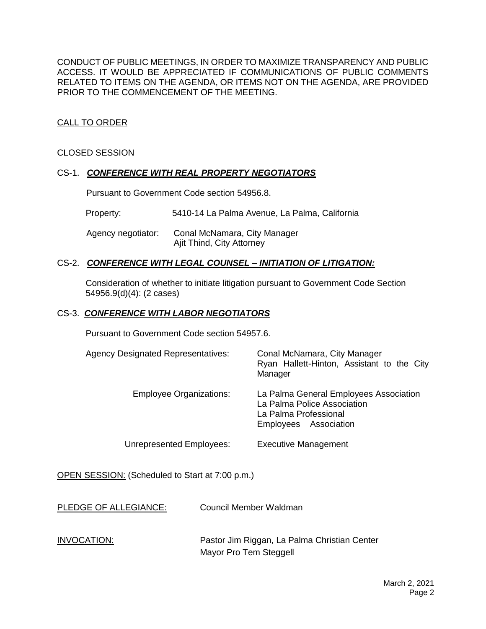CONDUCT OF PUBLIC MEETINGS, IN ORDER TO MAXIMIZE TRANSPARENCY AND PUBLIC ACCESS. IT WOULD BE APPRECIATED IF COMMUNICATIONS OF PUBLIC COMMENTS RELATED TO ITEMS ON THE AGENDA, OR ITEMS NOT ON THE AGENDA, ARE PROVIDED PRIOR TO THE COMMENCEMENT OF THE MEETING.

# CALL TO ORDER

# CLOSED SESSION

# CS-1. *CONFERENCE WITH REAL PROPERTY NEGOTIATORS*

Pursuant to Government Code section 54956.8.

Property: 5410-14 La Palma Avenue, La Palma, California

 Agency negotiator: Conal McNamara, City Manager Ajit Thind, City Attorney

# CS-2. *CONFERENCE WITH LEGAL COUNSEL – INITIATION OF LITIGATION:*

Consideration of whether to initiate litigation pursuant to Government Code Section 54956.9(d)(4): (2 cases)

#### CS-3. *CONFERENCE WITH LABOR NEGOTIATORS*

Pursuant to Government Code section 54957.6.

| <b>Agency Designated Representatives:</b> | Conal McNamara, City Manager<br>Ryan Hallett-Hinton, Assistant to the City<br>Manager                                   |
|-------------------------------------------|-------------------------------------------------------------------------------------------------------------------------|
| <b>Employee Organizations:</b>            | La Palma General Employees Association<br>La Palma Police Association<br>La Palma Professional<br>Employees Association |
| Unrepresented Employees:                  | <b>Executive Management</b>                                                                                             |

OPEN SESSION: (Scheduled to Start at 7:00 p.m.)

PLEDGE OF ALLEGIANCE: Council Member Waldman

INVOCATION: Pastor Jim Riggan, La Palma Christian Center Mayor Pro Tem Steggell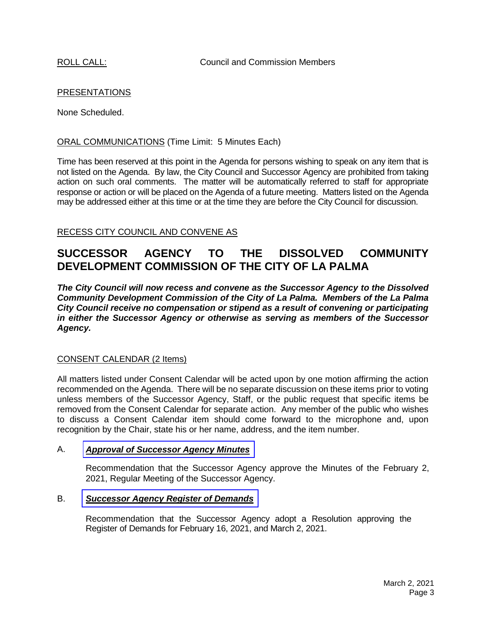# PRESENTATIONS

None Scheduled.

# ORAL COMMUNICATIONS (Time Limit: 5 Minutes Each)

Time has been reserved at this point in the Agenda for persons wishing to speak on any item that is not listed on the Agenda. By law, the City Council and Successor Agency are prohibited from taking action on such oral comments. The matter will be automatically referred to staff for appropriate response or action or will be placed on the Agenda of a future meeting. Matters listed on the Agenda may be addressed either at this time or at the time they are before the City Council for discussion.

# RECESS CITY COUNCIL AND CONVENE AS

# **SUCCESSOR AGENCY TO THE DISSOLVED COMMUNITY DEVELOPMENT COMMISSION OF THE CITY OF LA PALMA**

*The City Council will now recess and convene as the Successor Agency to the Dissolved Community Development Commission of the City of La Palma. Members of the La Palma City Council receive no compensation or stipend as a result of convening or participating in either the Successor Agency or otherwise as serving as members of the Successor Agency.*

# CONSENT CALENDAR (2 Items)

All matters listed under Consent Calendar will be acted upon by one motion affirming the action recommended on the Agenda. There will be no separate discussion on these items prior to voting unless members of the Successor Agency, Staff, or the public request that specific items be removed from the Consent Calendar for separate action. Any member of the public who wishes to discuss a Consent Calendar item should come forward to the microphone and, upon recognition by the Chair, state his or her name, address, and the item number.

# A. *Approval of [Successor](https://www.cityoflapalma.org/DocumentCenter/View/10754/Item-A_Successor-Agency-Minutes) Agency Minutes*

Recommendation that the Successor Agency approve the Minutes of the February 2, 2021, Regular Meeting of the Successor Agency.

# B. *[Successor Agency Register of Demands](https://www.cityoflapalma.org/DocumentCenter/View/10767/Item-B_SA-Warrant-WEB)*

Recommendation that the Successor Agency adopt a Resolution approving the Register of Demands for February 16, 2021, and March 2, 2021.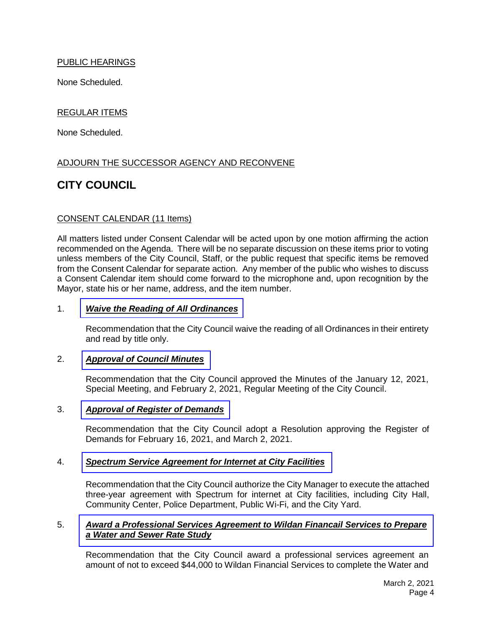# PUBLIC HEARINGS

None Scheduled.

# REGULAR ITEMS

None Scheduled.

# ADJOURN THE SUCCESSOR AGENCY AND RECONVENE

# **CITY COUNCIL**

#### CONSENT CALENDAR (11 Items)

All matters listed under Consent Calendar will be acted upon by one motion affirming the action recommended on the Agenda. There will be no separate discussion on these items prior to voting unless members of the City Council, Staff, or the public request that specific items be removed from the Consent Calendar for separate action. Any member of the public who wishes to discuss a Consent Calendar item should come forward to the microphone and, upon recognition by the Mayor, state his or her name, address, and the item number.

#### 1. *[Waive the Reading of All Ordinances](https://www.cityoflapalma.org/DocumentCenter/View/10755/Item-1_Read-Ordinances-by-Title)*

Recommendation that the City Council waive the reading of all Ordinances in their entirety and read by title only.

#### 2. *[Approval of Council Minutes](https://www.cityoflapalma.org/DocumentCenter/View/10756/Item-2_City-Council-Minutes)*

Recommendation that the City Council approved the Minutes of the January 12, 2021, Special Meeting, and February 2, 2021, Regular Meeting of the City Council.

#### 3. *[Approval of Register of Demands](https://www.cityoflapalma.org/DocumentCenter/View/10766/Item-3_CC-Warrants-WEB)*

Recommendation that the City Council adopt a Resolution approving the Register of Demands for February 16, 2021, and March 2, 2021.

# 4. *[Spectrum Service Agreement for Internet at City Facilities](https://www.cityoflapalma.org/DocumentCenter/View/10757/Item-4_Spectrum-Service-Agreement-for-Internet-at-City-Facilities)*

Recommendation that the City Council authorize the City Manager to execute the attached three-year agreement with Spectrum for internet at City facilities, including City Hall, Community Center, Police Department, Public Wi-Fi, and the City Yard.

#### 5. *[Award a Professional Services Agreement to Wildan Financail Services to Prepare](https://www.cityoflapalma.org/DocumentCenter/View/10758/Item-5_AOC-Utility-Rate-Study)  a Water and Sewer Rate Study*

Recommendation that the City Council award a professional services agreement an amount of not to exceed \$44,000 to Wildan Financial Services to complete the Water and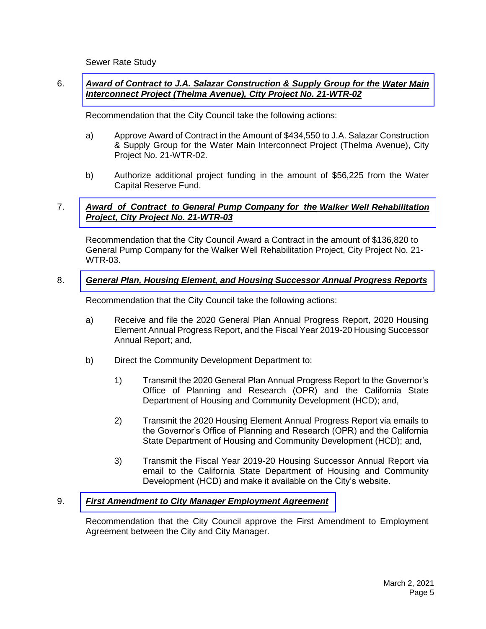Sewer Rate Study

# 6. *[Award of Contract to J.A. Salazar Construction &](https://www.cityoflapalma.org/DocumentCenter/View/10764/Item-6_AOC-to-JA-Salazar_21-WTR-02) Supply Group for the Water Main Interconnect Project (Thelma Avenue), City Project No. 21-WTR-02*

Recommendation that the City Council take the following actions:

- a) Approve Award of Contract in the Amount of \$434,550 to J.A. Salazar Construction & Supply Group for the Water Main Interconnect Project (Thelma Avenue), City Project No. 21-WTR-02.
- b) Authorize additional project funding in the amount of \$56,225 from the Water Capital Reserve Fund.

# 7. *Award of Contract [to General Pump Company for](https://www.cityoflapalma.org/DocumentCenter/View/10763/Item-7_General-Pump-Agreement) the Walker Well Rehabilitation Project, City Project No. 21-WTR-03*

Recommendation that the City Council Award a Contract in the amount of \$136,820 to General Pump Company for the Walker Well Rehabilitation Project, City Project No. 21- WTR-03.

# 8. *[General Plan, Housing Element, and Housing Successor Annual Progress Reports](https://www.cityoflapalma.org/DocumentCenter/View/10759/Item-8_SB-341-Housing-Reports-FY2019-20)*

Recommendation that the City Council take the following actions:

- a) Receive and file the 2020 General Plan Annual Progress Report, 2020 Housing Element Annual Progress Report, and the Fiscal Year 2019-20 Housing Successor Annual Report; and,
- b) Direct the Community Development Department to:
	- 1) Transmit the 2020 General Plan Annual Progress Report to the Governor's Office of Planning and Research (OPR) and the California State Department of Housing and Community Development (HCD); and,
	- 2) Transmit the 2020 Housing Element Annual Progress Report via emails to the Governor's Office of Planning and Research (OPR) and the California State Department of Housing and Community Development (HCD); and,
	- 3) Transmit the Fiscal Year 2019-20 Housing Successor Annual Report via email to the California State Department of Housing and Community Development (HCD) and make it available on the City's website.

# 9. *[First Amendment to City Manager Employment Agreement](https://www.cityoflapalma.org/DocumentCenter/View/10760/Item-9_City-Manager-Contract-Amendment)*

Recommendation that the City Council approve the First Amendment to Employment Agreement between the City and City Manager.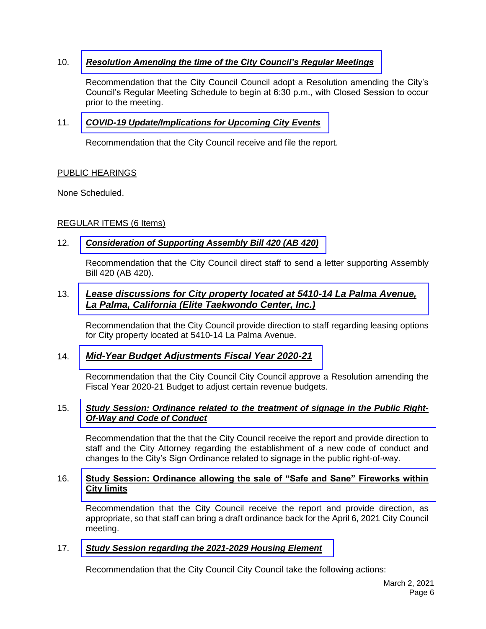# 10. *[Resolution Amending the time of the City Council's Regular Meetings](https://www.cityoflapalma.org/DocumentCenter/View/10761/Item-10_Reso-to-Modify-CC-Mtg-Schedule)*

Recommendation that the City Council Council adopt a Resolution amending the City's Council's Regular Meeting Schedule to begin at 6:30 p.m., with Closed Session to occur prior to the meeting.

# 11. *[COVID-19 Update/Implications for Upcoming City Events](https://www.cityoflapalma.org/DocumentCenter/View/10762/Item-11_COVID-19-Update-3-2-21)*

Recommendation that the City Council receive and file the report.

# PUBLIC HEARINGS

None Scheduled.

# REGULAR ITEMS (6 Items)

# 12. *[Consideration of Supporting Assembly Bill 420 \(AB 420\)](https://www.cityoflapalma.org/DocumentCenter/View/10750/Item-12_Support-AB-420)*

Recommendation that the City Council direct staff to send a letter supporting Assembly Bill 420 (AB 420).

# 13. *[Lease discussions for City property located at 5410-14 La Palma Avenue,](https://www.cityoflapalma.org/DocumentCenter/View/10751/Item-13_Lease-Discussions-for-5410-La-Palma-Avenue)  La Palma, California (Elite Taekwondo Center, Inc.)*

Recommendation that the City Council provide direction to staff regarding leasing options for City property located at 5410-14 La Palma Avenue.

# 14. *[Mid-Year Budget Adjustments Fiscal Year 2020-21](https://www.cityoflapalma.org/DocumentCenter/View/10770/Item-14_Mid-Yr-Budget-adjustments-CM-Tracked)*

Recommendation that the City Council City Council approve a Resolution amending the Fiscal Year 2020-21 Budget to adjust certain revenue budgets.

# 15. *[Study Session: Ordinance related to the treatment of signage in the Public Right-](https://www.cityoflapalma.org/DocumentCenter/View/10752/Item-15_Signage-in-the-Public-ROW-Study-Session)Of-Way and Code of Conduct*

Recommendation that the that the City Council receive the report and provide direction to staff and the City Attorney regarding the establishment of a new code of conduct and changes to the City's Sign Ordinance related to signage in the public right-of-way.

# 16. **[Study Session: Ordinance allowing the sale of "Safe and Sane" Fireworks within](https://www.cityoflapalma.org/DocumentCenter/View/10753/Item-16_Fireworks-Sales-Study-Session)  City limits**

Recommendation that the City Council receive the report and provide direction, as appropriate, so that staff can bring a draft ordinance back for the April 6, 2021 City Council meeting.

# 17. *[Study Session regarding the 2021-2029 Housing Element](https://www.cityoflapalma.org/DocumentCenter/View/10769/Item-17_Study-Session-2021-2029-Housing-Element)*

Recommendation that the City Council City Council take the following actions: